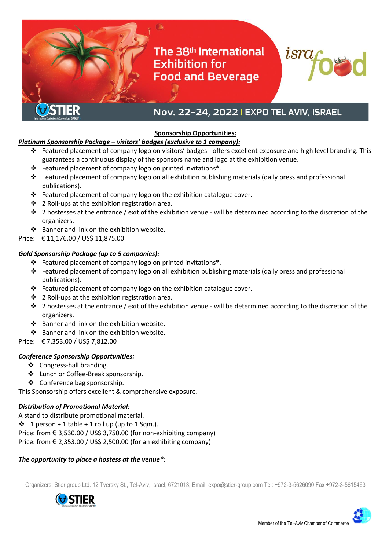# The 38th International **Exhibition for Food and Beverage**



# Nov. 22-24, 2022 | EXPO TEL AVIV, ISRAEL

#### **Sponsorship Opportunities:**

#### *Platinum Sponsorship Package – visitors' badges (exclusive to 1 company):*

- Featured placement of company logo on visitors' badges offers excellent exposure and high level branding. This guarantees a continuous display of the sponsors name and logo at the exhibition venue.
- $\cdot \cdot$  Featured placement of company logo on printed invitations\*.
- Featured placement of company logo on all exhibition publishing materials (daily press and professional publications).
- Featured placement of company logo on the exhibition catalogue cover.
- ❖ 2 Roll-ups at the exhibition registration area.
- $\cdot \cdot$  2 hostesses at the entrance / exit of the exhibition venue will be determined according to the discretion of the organizers.
- ❖ Banner and link on the exhibition website.
- Price: € 11,176.00 / US\$ 11,875.00

### *Gold Sponsorship Package (up to 5 companies):*

- $\cdot \cdot$  Featured placement of company logo on printed invitations\*.
- Featured placement of company logo on all exhibition publishing materials (daily press and professional publications).
- $\cdot \cdot$  Featured placement of company logo on the exhibition catalogue cover.
- 2 Roll-ups at the exhibition registration area.
- $\cdot \cdot$  2 hostesses at the entrance / exit of the exhibition venue will be determined according to the discretion of the organizers.
- Banner and link on the exhibition website.
- ❖ Banner and link on the exhibition website.
- Price: € 7,353.00 / US\$ 7,812.00

#### *Conference Sponsorship Opportunities:*

- ❖ Congress-hall branding.
- Lunch or Coffee-Break sponsorship.
- Conference bag sponsorship.

This Sponsorship offers excellent & comprehensive exposure.

# *Distribution of Promotional Material:*

A stand to distribute promotional material.

 $\div$  1 person + 1 table + 1 roll up (up to 1 Sqm.).

Price: from  $\epsilon$  3,530.00 / US\$ 3,750.00 (for non-exhibiting company)

Price: from  $\epsilon$  2,353.00 / US\$ 2,500.00 (for an exhibiting company)

# *The opportunity to place a hostess at the venue\*:*

Organizers: Stier group Ltd. 12 Tversky St., Tel-Aviv, Israel, 6721013; Email: expo@stier-group.com Tel: +972-3-5626090 Fax +972-3-5615463